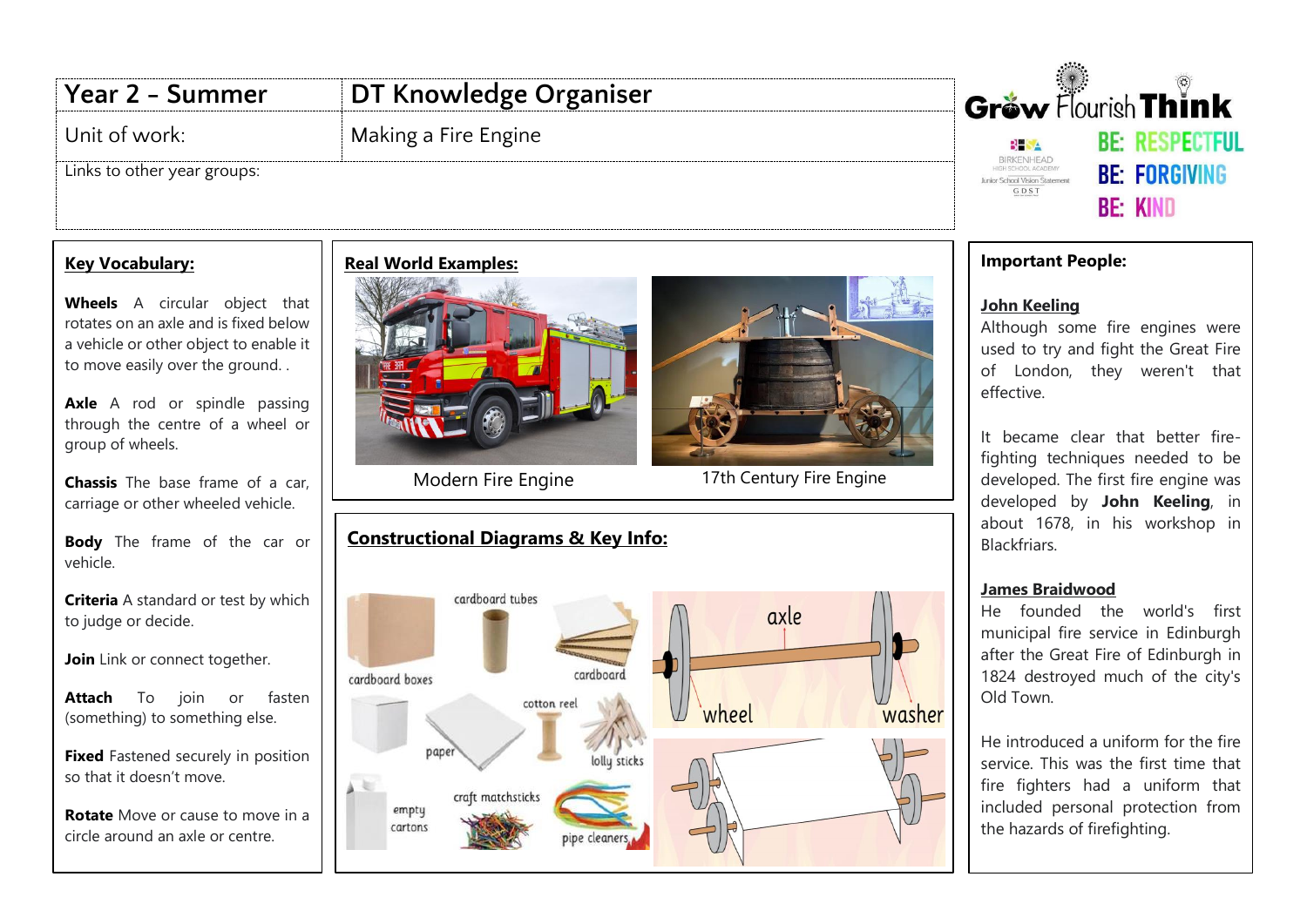# **Year 2 - Summer DT Knowledge Organiser**

## Unit of work: Making a Fire Engine

Links to other year groups:

### **Key Vocabulary:**

**Wheels** A circular object that rotates on an axle and is fixed below a vehicle or other object to enable it to move easily over the ground. .

Axle A rod or spindle passing through the centre of a wheel or group of wheels.

**Chassis** The base frame of a car, carriage or other wheeled vehicle.

**Body** The frame of the car or vehicle.

**Criteria** A standard or test by which to judge or decide.

**Join** Link or connect together.

**Attach** To join or fasten (something) to something else.

**Fixed** Fastened securely in position so that it doesn't move.

**Rotate** Move or cause to move in a circle around an axle or centre.

## **Real World Examples:**





Modern Fire Engine 17th Century Fire Engine

## **Constructional Diagrams & Key Info:**





#### **Important People:**

#### **John Keeling**

Although some fire engines were used to try and fight the Great Fire of London, they weren't that effective.

It became clear that better firefighting techniques needed to be developed. The first fire engine was developed by **John Keeling**, in about 1678, in his workshop in Blackfriars.

#### **James Braidwood**

He founded the world's first municipal fire service in Edinburgh after the Great Fire of Edinburgh in 1824 destroyed much of the city's Old Town.

He introduced a uniform for the fire service. This was the first time that fire fighters had a uniform that included personal protection from the hazards of firefighting.